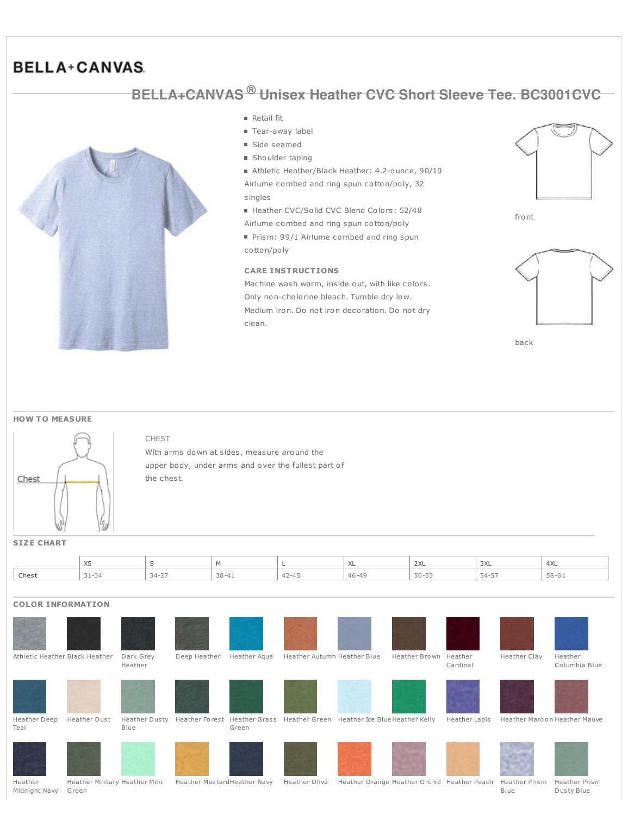# **BELLA+CANVAS**



CHEST

#### Retail fit

- Tear-away label
- Side seamed
- **Shoulder taping**
- Athletic Heather/Black Heather: 4.2-ounce, 90/10 Airlume combed and ring spun cotton/poly, 32 singles

**BELLA+CANVAS ® Unisex Heather CVC Short Sleeve Tee. BC3001CVC**

- Heather CVC/Solid CVC Blend Colors: 52/48
- Airlume combed and ring spun cotton/poly
- Prism: 99/1 Airlume combed and ring spun cotton/poly

### **CARE INSTRUCTIONS**

Machine wash warm, inside out, with like colors. Only non-cholorine bleach. Tumble dry low. Medium iron. Do not iron decoration. Do not dry clean.



front



back

#### **HOW TO MEASURE**



With arms down at sides, measure around the upper body, under arms and over the fullest part of the chest.

## **SIZE CHART**

|       | $\sqrt{2}$<br>ᄉ             |           |  | $\overline{1}$<br>⌒⌒ | 2XL                                       | 3XL                                     | 4XL       |
|-------|-----------------------------|-----------|--|----------------------|-------------------------------------------|-----------------------------------------|-----------|
| Chest | $\sim$<br>- - -<br><u>_</u> | $34 - 37$ |  |                      | ---<br>$\Gamma$ $\cap$<br>JU.<br><u>.</u> | $-4$ $-7$<br>$\sim$ $\Delta$ $=$<br>ر - | $58 - 61$ |

| <b>COLOR INFORMATION</b>       |                               |                      |                                            |              |                                              |                                             |                     |               |                              |
|--------------------------------|-------------------------------|----------------------|--------------------------------------------|--------------|----------------------------------------------|---------------------------------------------|---------------------|---------------|------------------------------|
|                                |                               |                      |                                            |              |                                              |                                             |                     |               |                              |
| Athletic Heather Black Heather |                               | Dark Grey<br>Heather | Deep Heather                               | Heather Agua | Heather Autumn Heather Blue                  | Heather Brown                               | Heather<br>Cardinal | Heather Clay  | Heather<br>Columbia Blue     |
|                                |                               |                      |                                            |              |                                              |                                             |                     |               |                              |
|                                |                               |                      |                                            |              |                                              |                                             |                     |               |                              |
| Heather Deep<br>Teal           | Heather Dust                  | Blue                 | Heather Dusty Heather Forest Heather Grass | Green        | Heather Green Heather Ice Blue Heather Kelly |                                             | Heather Lapis       |               | Heather Maroon Heather Mauve |
|                                |                               |                      |                                            |              |                                              |                                             |                     |               |                              |
| Heather                        | Heather Military Heather Mint |                      | Heather MustardHeather Navy                |              | Heather Olive                                | Heather Orange Heather Orchid Heather Peach |                     | Heather Prism | Heather Prism                |

Heather Midnight Navy

Heather Military Heather Mint Green

Heather MustardHeather Navy Heather Olive Heather Orange Heather Orchid Heather Peach Heather Prism

Blue Dus ty Blue